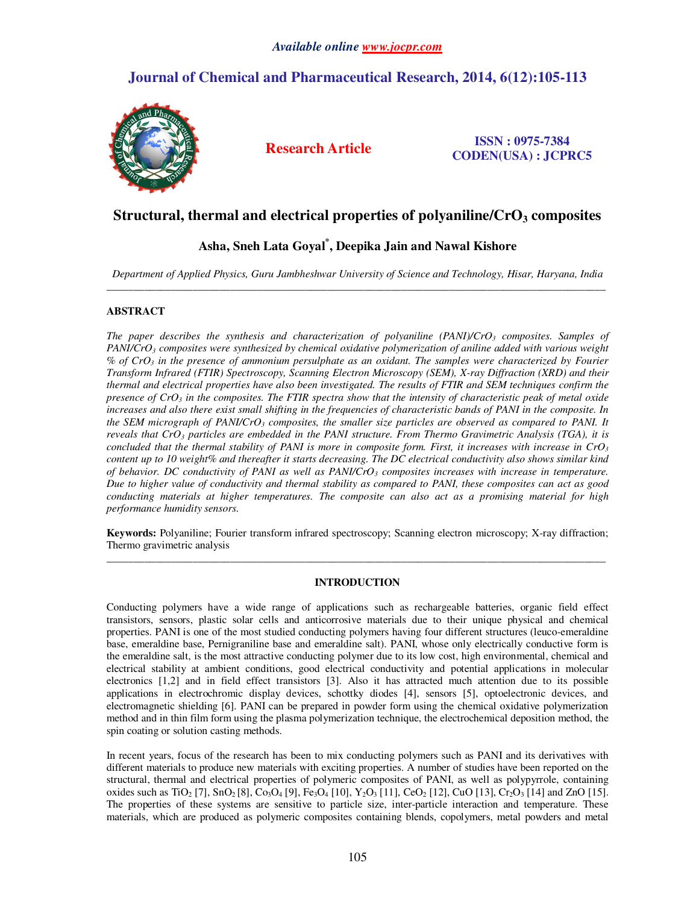# **Journal of Chemical and Pharmaceutical Research, 2014, 6(12):105-113**



**Research Article ISSN : 0975-7384 CODEN(USA) : JCPRC5**

# **Structural, thermal and electrical properties of polyaniline/CrO3 composites**

## **Asha, Sneh Lata Goyal\* , Deepika Jain and Nawal Kishore**

*Department of Applied Physics, Guru Jambheshwar University of Science and Technology, Hisar, Haryana, India*  \_\_\_\_\_\_\_\_\_\_\_\_\_\_\_\_\_\_\_\_\_\_\_\_\_\_\_\_\_\_\_\_\_\_\_\_\_\_\_\_\_\_\_\_\_\_\_\_\_\_\_\_\_\_\_\_\_\_\_\_\_\_\_\_\_\_\_\_\_\_\_\_\_\_\_\_\_\_\_\_\_\_\_\_\_\_\_\_\_\_\_\_\_

## **ABSTRACT**

*The paper describes the synthesis and characterization of polyaniline (PANI)/CrO3 composites. Samples of PANI/CrO3 composites were synthesized by chemical oxidative polymerization of aniline added with various weight % of CrO3 in the presence of ammonium persulphate as an oxidant. The samples were characterized by Fourier Transform Infrared (FTIR) Spectroscopy, Scanning Electron Microscopy (SEM), X-ray Diffraction (XRD) and their thermal and electrical properties have also been investigated. The results of FTIR and SEM techniques confirm the presence of CrO3 in the composites. The FTIR spectra show that the intensity of characteristic peak of metal oxide increases and also there exist small shifting in the frequencies of characteristic bands of PANI in the composite. In the SEM micrograph of PANI/CrO3 composites, the smaller size particles are observed as compared to PANI. It reveals that CrO3 particles are embedded in the PANI structure. From Thermo Gravimetric Analysis (TGA), it is concluded that the thermal stability of PANI is more in composite form. First, it increases with increase in CrO<sup>3</sup> content up to 10 weight% and thereafter it starts decreasing. The DC electrical conductivity also shows similar kind of behavior. DC conductivity of PANI as well as PANI/CrO3 composites increases with increase in temperature. Due to higher value of conductivity and thermal stability as compared to PANI, these composites can act as good conducting materials at higher temperatures. The composite can also act as a promising material for high performance humidity sensors.* 

**Keywords:** Polyaniline; Fourier transform infrared spectroscopy; Scanning electron microscopy; X-ray diffraction; Thermo gravimetric analysis \_\_\_\_\_\_\_\_\_\_\_\_\_\_\_\_\_\_\_\_\_\_\_\_\_\_\_\_\_\_\_\_\_\_\_\_\_\_\_\_\_\_\_\_\_\_\_\_\_\_\_\_\_\_\_\_\_\_\_\_\_\_\_\_\_\_\_\_\_\_\_\_\_\_\_\_\_\_\_\_\_\_\_\_\_\_\_\_\_\_\_\_\_

## **INTRODUCTION**

Conducting polymers have a wide range of applications such as rechargeable batteries, organic field effect transistors, sensors, plastic solar cells and anticorrosive materials due to their unique physical and chemical properties. PANI is one of the most studied conducting polymers having four different structures (leuco-emeraldine base, emeraldine base, Pernigraniline base and emeraldine salt). PANI, whose only electrically conductive form is the emeraldine salt, is the most attractive conducting polymer due to its low cost, high environmental, chemical and electrical stability at ambient conditions, good electrical conductivity and potential applications in molecular electronics [1,2] and in field effect transistors [3]. Also it has attracted much attention due to its possible applications in electrochromic display devices, schottky diodes [4], sensors [5], optoelectronic devices, and electromagnetic shielding [6]. PANI can be prepared in powder form using the chemical oxidative polymerization method and in thin film form using the plasma polymerization technique, the electrochemical deposition method, the spin coating or solution casting methods.

In recent years, focus of the research has been to mix conducting polymers such as PANI and its derivatives with different materials to produce new materials with exciting properties. A number of studies have been reported on the structural, thermal and electrical properties of polymeric composites of PANI, as well as polypyrrole, containing oxides such as TiO<sub>2</sub> [7], SnO<sub>2</sub> [8], Co<sub>3</sub>O<sub>4</sub> [9], Fe<sub>3</sub>O<sub>4</sub> [10], Y<sub>2</sub>O<sub>3</sub> [11], CeO<sub>2</sub> [12], CuO [13], Cr<sub>2</sub>O<sub>3</sub> [14] and ZnO [15]. The properties of these systems are sensitive to particle size, inter-particle interaction and temperature. These materials, which are produced as polymeric composites containing blends, copolymers, metal powders and metal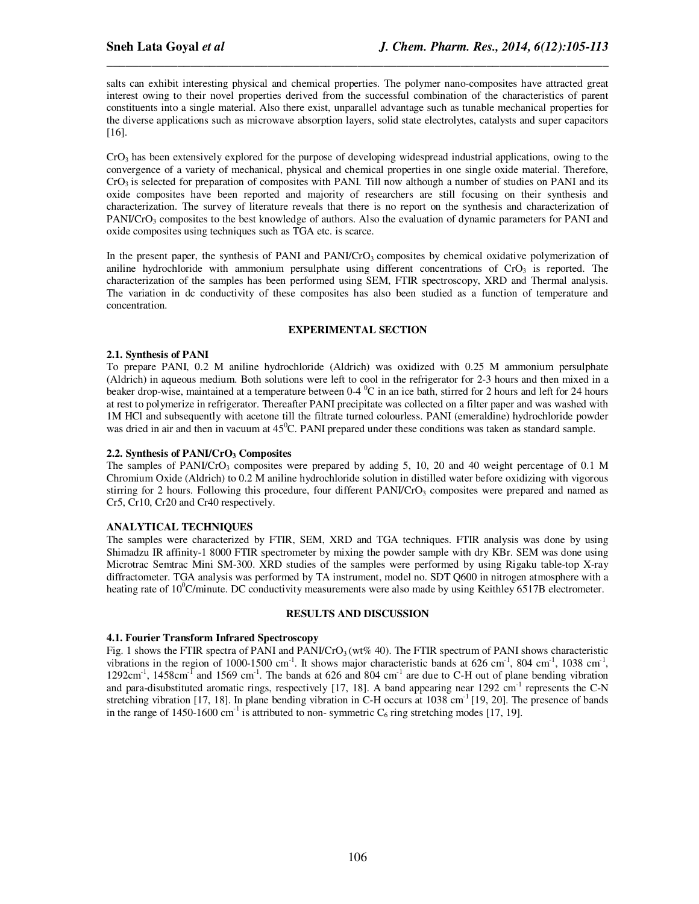salts can exhibit interesting physical and chemical properties. The polymer nano-composites have attracted great interest owing to their novel properties derived from the successful combination of the characteristics of parent constituents into a single material. Also there exist, unparallel advantage such as tunable mechanical properties for the diverse applications such as microwave absorption layers, solid state electrolytes, catalysts and super capacitors [16].

*\_\_\_\_\_\_\_\_\_\_\_\_\_\_\_\_\_\_\_\_\_\_\_\_\_\_\_\_\_\_\_\_\_\_\_\_\_\_\_\_\_\_\_\_\_\_\_\_\_\_\_\_\_\_\_\_\_\_\_\_\_\_\_\_\_\_\_\_\_\_\_\_\_\_\_\_\_\_*

 $CrO<sub>3</sub>$  has been extensively explored for the purpose of developing widespread industrial applications, owing to the convergence of a variety of mechanical, physical and chemical properties in one single oxide material. Therefore, CrO3 is selected for preparation of composites with PANI. Till now although a number of studies on PANI and its oxide composites have been reported and majority of researchers are still focusing on their synthesis and characterization. The survey of literature reveals that there is no report on the synthesis and characterization of PANI/CrO<sub>3</sub> composites to the best knowledge of authors. Also the evaluation of dynamic parameters for PANI and oxide composites using techniques such as TGA etc. is scarce.

In the present paper, the synthesis of PANI and PANI/CrO<sub>3</sub> composites by chemical oxidative polymerization of aniline hydrochloride with ammonium persulphate using different concentrations of  $CrO<sub>3</sub>$  is reported. The characterization of the samples has been performed using SEM, FTIR spectroscopy, XRD and Thermal analysis. The variation in dc conductivity of these composites has also been studied as a function of temperature and concentration.

## **EXPERIMENTAL SECTION**

## **2.1. Synthesis of PANI**

To prepare PANI, 0.2 M aniline hydrochloride (Aldrich) was oxidized with 0.25 M ammonium persulphate (Aldrich) in aqueous medium. Both solutions were left to cool in the refrigerator for 2-3 hours and then mixed in a beaker drop-wise, maintained at a temperature between  $0-4$  °C in an ice bath, stirred for 2 hours and left for 24 hours at rest to polymerize in refrigerator. Thereafter PANI precipitate was collected on a filter paper and was washed with 1M HCl and subsequently with acetone till the filtrate turned colourless. PANI (emeraldine) hydrochloride powder was dried in air and then in vacuum at  $45^{\circ}$ C. PANI prepared under these conditions was taken as standard sample.

## **2.2. Synthesis of PANI/CrO3 Composites**

The samples of PANI/CrO<sub>3</sub> composites were prepared by adding 5, 10, 20 and 40 weight percentage of 0.1 M Chromium Oxide (Aldrich) to 0.2 M aniline hydrochloride solution in distilled water before oxidizing with vigorous stirring for 2 hours. Following this procedure, four different PANI/CrO<sub>3</sub> composites were prepared and named as Cr5, Cr10, Cr20 and Cr40 respectively.

## **ANALYTICAL TECHNIQUES**

The samples were characterized by FTIR, SEM, XRD and TGA techniques. FTIR analysis was done by using Shimadzu IR affinity-1 8000 FTIR spectrometer by mixing the powder sample with dry KBr. SEM was done using Microtrac Semtrac Mini SM-300. XRD studies of the samples were performed by using Rigaku table-top X-ray diffractometer. TGA analysis was performed by TA instrument, model no. SDT Q600 in nitrogen atmosphere with a heating rate of  $10^{\circ}$ C/minute. DC conductivity measurements were also made by using Keithley 6517B electrometer.

#### **RESULTS AND DISCUSSION**

#### **4.1. Fourier Transform Infrared Spectroscopy**

Fig. 1 shows the FTIR spectra of PANI and PANI/CrO<sub>3</sub> (wt% 40). The FTIR spectrum of PANI shows characteristic vibrations in the region of 1000-1500 cm<sup>-1</sup>. It shows major characteristic bands at 626 cm<sup>-1</sup>, 804 cm<sup>-1</sup>, 1038 cm<sup>-1</sup>, 1292cm<sup>-1</sup>, 1458cm<sup>-T</sup> and 1569 cm<sup>-1</sup>. The bands at 626 and 804 cm<sup>-1</sup> are due to C-H out of plane bending vibration and para-disubstituted aromatic rings, respectively [17, 18]. A band appearing near 1292 cm<sup>-1</sup> represents the C-N stretching vibration [17, 18]. In plane bending vibration in C-H occurs at 1038 cm<sup>-1</sup> [19, 20]. The presence of bands in the range of 1450-1600 cm<sup>-1</sup> is attributed to non-symmetric  $C_6$  ring stretching modes [17, 19].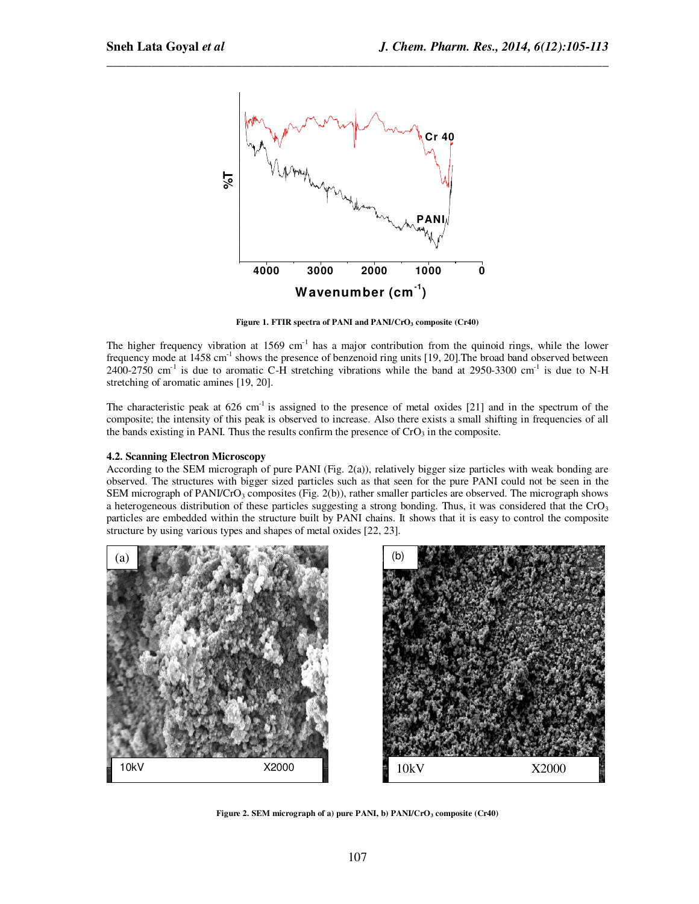

*\_\_\_\_\_\_\_\_\_\_\_\_\_\_\_\_\_\_\_\_\_\_\_\_\_\_\_\_\_\_\_\_\_\_\_\_\_\_\_\_\_\_\_\_\_\_\_\_\_\_\_\_\_\_\_\_\_\_\_\_\_\_\_\_\_\_\_\_\_\_\_\_\_\_\_\_\_\_*

**Figure 1. FTIR spectra of PANI and PANI/CrO3 composite (Cr40)** 

The higher frequency vibration at  $1569 \text{ cm}^{-1}$  has a major contribution from the quinoid rings, while the lower frequency mode at 1458 cm<sup>-1</sup> shows the presence of benzenoid ring units [19, 20]. The broad band observed between  $2400-2750$  cm<sup>-1</sup> is due to aromatic C-H stretching vibrations while the band at 2950-3300 cm<sup>-1</sup> is due to N-H stretching of aromatic amines [19, 20].

The characteristic peak at  $626 \text{ cm}^{-1}$  is assigned to the presence of metal oxides [21] and in the spectrum of the composite; the intensity of this peak is observed to increase. Also there exists a small shifting in frequencies of all the bands existing in PANI. Thus the results confirm the presence of  $CrO<sub>3</sub>$  in the composite.

## **4.2. Scanning Electron Microscopy**

According to the SEM micrograph of pure PANI (Fig. 2(a)), relatively bigger size particles with weak bonding are observed. The structures with bigger sized particles such as that seen for the pure PANI could not be seen in the SEM micrograph of PANI/CrO<sub>3</sub> composites (Fig. 2(b)), rather smaller particles are observed. The micrograph shows a heterogeneous distribution of these particles suggesting a strong bonding. Thus, it was considered that the  $CrO<sub>3</sub>$ particles are embedded within the structure built by PANI chains. It shows that it is easy to control the composite structure by using various types and shapes of metal oxides [22, 23].





**Figure 2. SEM micrograph of a) pure PANI, b) PANI/CrO3 composite (Cr40)**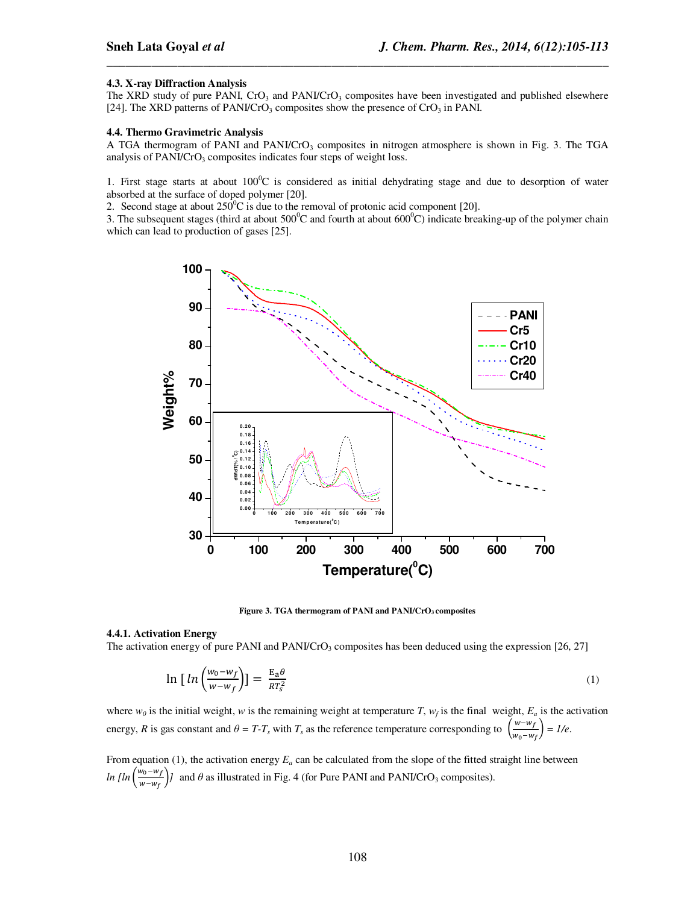#### **4.3. X-ray Diffraction Analysis**

The XRD study of pure PANI, CrO<sub>3</sub> and PANI/CrO<sub>3</sub> composites have been investigated and published elsewhere [24]. The XRD patterns of PANI/CrO<sub>3</sub> composites show the presence of CrO<sub>3</sub> in PANI.

*\_\_\_\_\_\_\_\_\_\_\_\_\_\_\_\_\_\_\_\_\_\_\_\_\_\_\_\_\_\_\_\_\_\_\_\_\_\_\_\_\_\_\_\_\_\_\_\_\_\_\_\_\_\_\_\_\_\_\_\_\_\_\_\_\_\_\_\_\_\_\_\_\_\_\_\_\_\_*

#### **4.4. Thermo Gravimetric Analysis**

A TGA thermogram of PANI and PANI/CrO<sub>3</sub> composites in nitrogen atmosphere is shown in Fig. 3. The TGA analysis of PANI/CrO<sub>3</sub> composites indicates four steps of weight loss.

1. First stage starts at about  $100^{\circ}\text{C}$  is considered as initial dehydrating stage and due to desorption of water absorbed at the surface of doped polymer [20].

2. Second stage at about  $250^{\circ}$ C is due to the removal of protonic acid component [20].

3. The subsequent stages (third at about  $500^{\circ}$ C and fourth at about  $600^{\circ}$ C) indicate breaking-up of the polymer chain which can lead to production of gases [25].



**Figure 3. TGA thermogram of PANI and PANI/CrO3 composites** 

#### **4.4.1. Activation Energy**

The activation energy of pure PANI and PANI/CrO<sub>3</sub> composites has been deduced using the expression [26, 27]

$$
\ln\left[ln\left(\frac{w_0 - w_f}{w - w_f}\right)\right] = \frac{E_a \theta}{RT_s^2} \tag{1}
$$

where  $w_0$  is the initial weight, *w* is the remaining weight at temperature *T*,  $w_f$  is the final weight,  $E_a$  is the activation energy, *R* is gas constant and  $\theta = T - T_s$  with  $T_s$  as the reference temperature corresponding to  $\left(\frac{w - w_f}{w - w_f}\right)$  $\frac{m}{w_0 - w_f}$  = 1/e.

From equation (1), the activation energy  $E_a$  can be calculated from the slope of the fitted straight line between  $ln \left[\ln \left(\frac{w_0 - w_f}{w - w_f}\right)\right]$  $\frac{a_0 - a_1}{w - w_f}$  and  $\theta$  as illustrated in Fig. 4 (for Pure PANI and PANI/CrO<sub>3</sub> composites).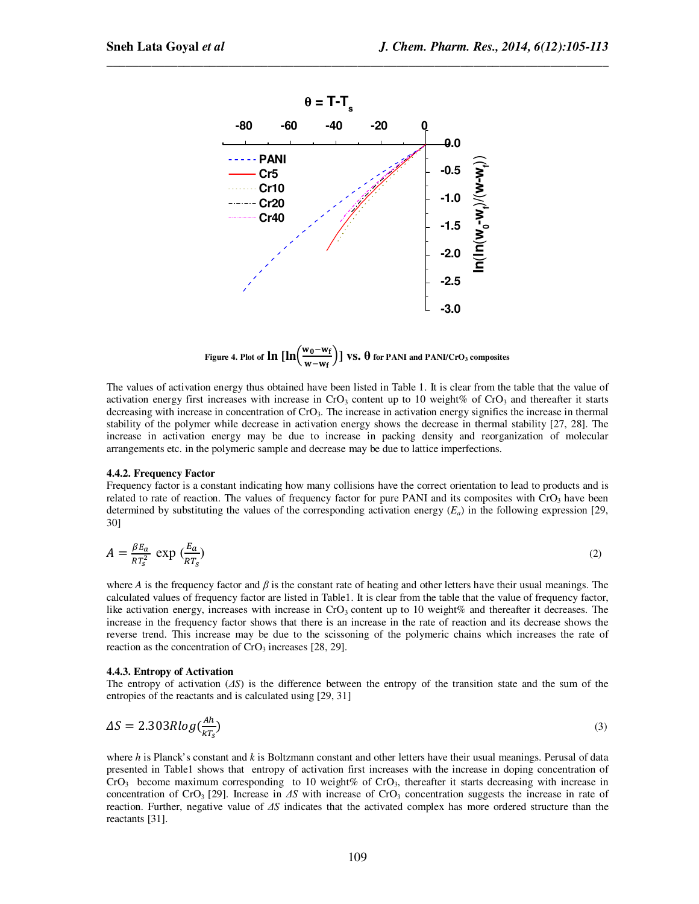

*\_\_\_\_\_\_\_\_\_\_\_\_\_\_\_\_\_\_\_\_\_\_\_\_\_\_\_\_\_\_\_\_\_\_\_\_\_\_\_\_\_\_\_\_\_\_\_\_\_\_\_\_\_\_\_\_\_\_\_\_\_\_\_\_\_\_\_\_\_\_\_\_\_\_\_\_\_\_*

**Figure 4. Plot of**  $\ln \left[\ln \left(\frac{w_0 - w_f}{w - w_f}\right)\right]$  $\left[\frac{w_0 - w_f}{w - w_f}\right]$  **VS.**  $\theta$  for PANI and PANI/CrO<sub>3</sub> composites

The values of activation energy thus obtained have been listed in Table 1. It is clear from the table that the value of activation energy first increases with increase in  $CrO_3$  content up to 10 weight% of  $CrO_3$  and thereafter it starts decreasing with increase in concentration of CrO<sub>3</sub>. The increase in activation energy signifies the increase in thermal stability of the polymer while decrease in activation energy shows the decrease in thermal stability [27, 28]. The increase in activation energy may be due to increase in packing density and reorganization of molecular arrangements etc. in the polymeric sample and decrease may be due to lattice imperfections.

#### **4.4.2. Frequency Factor**

Frequency factor is a constant indicating how many collisions have the correct orientation to lead to products and is related to rate of reaction. The values of frequency factor for pure PANI and its composites with  $CrO<sub>3</sub>$  have been determined by substituting the values of the corresponding activation energy  $(E_a)$  in the following expression [29, 30]

$$
A = \frac{\beta E_a}{RT_s^2} \exp\left(\frac{E_a}{RT_s}\right) \tag{2}
$$

where *A* is the frequency factor and  $\beta$  is the constant rate of heating and other letters have their usual meanings. The calculated values of frequency factor are listed in Table1. It is clear from the table that the value of frequency factor, like activation energy, increases with increase in  $CrO<sub>3</sub>$  content up to 10 weight% and thereafter it decreases. The increase in the frequency factor shows that there is an increase in the rate of reaction and its decrease shows the reverse trend. This increase may be due to the scissoning of the polymeric chains which increases the rate of reaction as the concentration of  $CrO<sub>3</sub>$  increases [28, 29].

#### **4.4.3. Entropy of Activation**

The entropy of activation (∆*S*) is the difference between the entropy of the transition state and the sum of the entropies of the reactants and is calculated using [29, 31]

$$
\Delta S = 2.303R \log(\frac{Ah}{kT_s})\tag{3}
$$

where *h* is Planck's constant and *k* is Boltzmann constant and other letters have their usual meanings. Perusal of data presented in Table1 shows that entropy of activation first increases with the increase in doping concentration of  $CrO<sub>3</sub>$  become maximum corresponding to 10 weight% of  $CrO<sub>3</sub>$ , thereafter it starts decreasing with increase in concentration of CrO<sub>3</sub> [29]. Increase in ∆*S* with increase of CrO<sub>3</sub> concentration suggests the increase in rate of reaction. Further, negative value of ∆*S* indicates that the activated complex has more ordered structure than the reactants [31].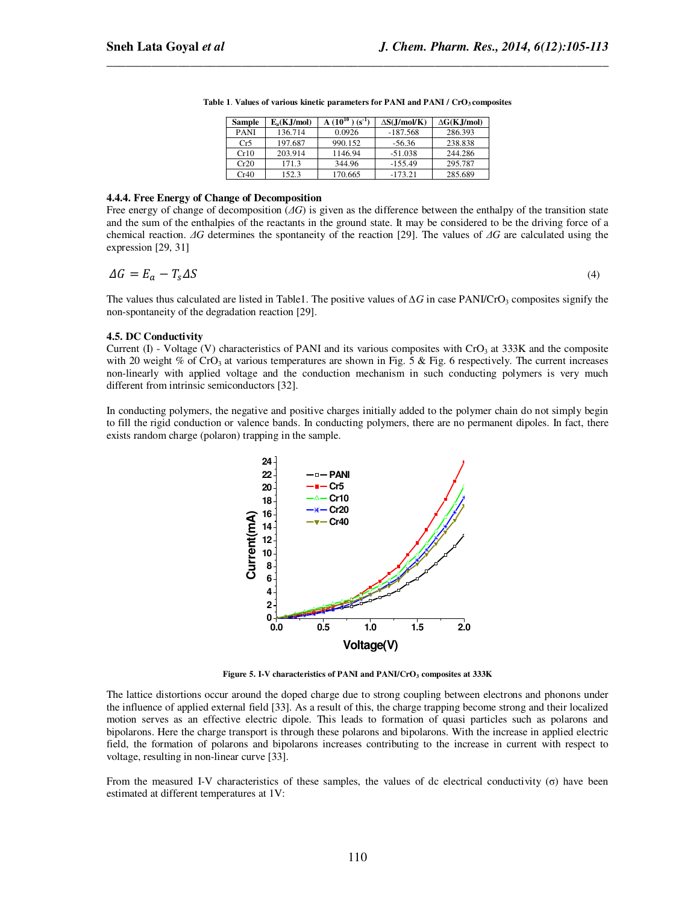| <b>Sample</b> | $E_a(K,J/mol)$ | $10^{10}$<br>$(s^{-1})$ | $\Delta S(J/mol/K)$ | $\Delta G(K,J/mol)$ |
|---------------|----------------|-------------------------|---------------------|---------------------|
| <b>PANI</b>   | 136.714        | 0.0926                  | $-187.568$          | 286.393             |
| Cr5           | 197.687        | 990.152                 | $-56.36$            | 238.838             |
| Cr10          | 203.914        | 1146.94                 | $-51.038$           | 244.286             |
| Cr20          | 171.3          | 344.96                  | $-155.49$           | 295.787             |
| Cr40          | 152.3          | 170.665                 | $-173.21$           | 285.689             |

**Table 1**. **Values of various kinetic parameters for PANI and PANI / CrO3 composites** 

*\_\_\_\_\_\_\_\_\_\_\_\_\_\_\_\_\_\_\_\_\_\_\_\_\_\_\_\_\_\_\_\_\_\_\_\_\_\_\_\_\_\_\_\_\_\_\_\_\_\_\_\_\_\_\_\_\_\_\_\_\_\_\_\_\_\_\_\_\_\_\_\_\_\_\_\_\_\_*

#### **4.4.4. Free Energy of Change of Decomposition**

Free energy of change of decomposition (∆*G*) is given as the difference between the enthalpy of the transition state and the sum of the enthalpies of the reactants in the ground state. It may be considered to be the driving force of a chemical reaction. ∆*G* determines the spontaneity of the reaction [29]. The values of ∆*G* are calculated using the expression [29, 31]

$$
\Delta G = E_a - T_s \Delta S \tag{4}
$$

The values thus calculated are listed in Table1. The positive values of ∆*G* in case PANI/CrO<sub>3</sub> composites signify the non-spontaneity of the degradation reaction [29].

#### **4.5. DC Conductivity**

Current (I) - Voltage (V) characteristics of PANI and its various composites with  $CrO<sub>3</sub>$  at 333K and the composite with 20 weight % of CrO<sub>3</sub> at various temperatures are shown in Fig. 5 & Fig. 6 respectively. The current increases non-linearly with applied voltage and the conduction mechanism in such conducting polymers is very much different from intrinsic semiconductors [32].

In conducting polymers, the negative and positive charges initially added to the polymer chain do not simply begin to fill the rigid conduction or valence bands. In conducting polymers, there are no permanent dipoles. In fact, there exists random charge (polaron) trapping in the sample.



**Figure 5. I-V characteristics of PANI and PANI/CrO3 composites at 333K** 

The lattice distortions occur around the doped charge due to strong coupling between electrons and phonons under the influence of applied external field [33]. As a result of this, the charge trapping become strong and their localized motion serves as an effective electric dipole. This leads to formation of quasi particles such as polarons and bipolarons. Here the charge transport is through these polarons and bipolarons. With the increase in applied electric field, the formation of polarons and bipolarons increases contributing to the increase in current with respect to voltage, resulting in non-linear curve [33].

From the measured I-V characteristics of these samples, the values of dc electrical conductivity (σ) have been estimated at different temperatures at 1V: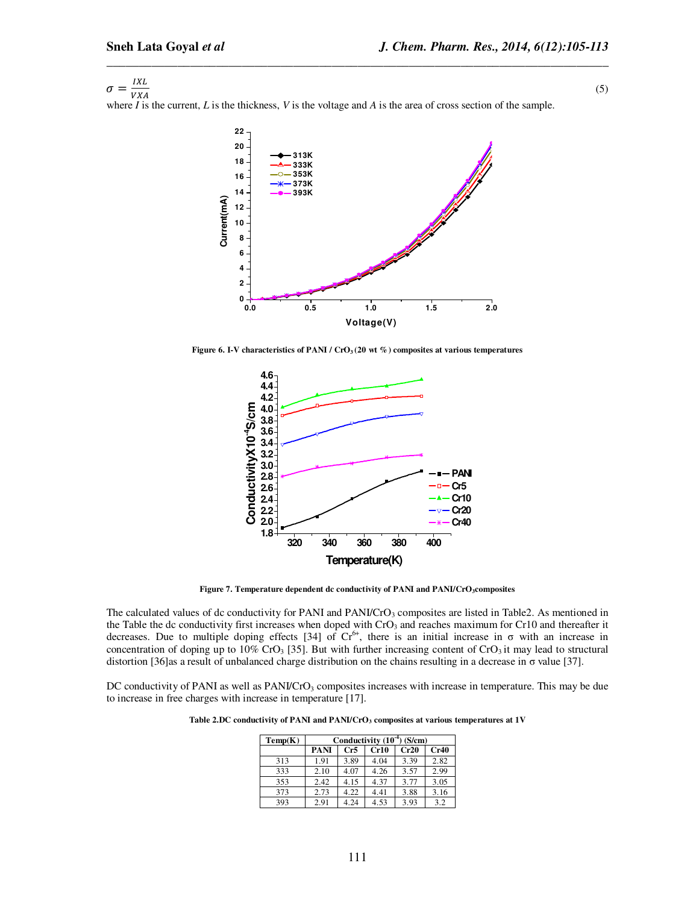$\sigma = \frac{IXL}{VXA}$ (5)

 $VXA$ where *I* is the current, *L* is the thickness, *V* is the voltage and *A* is the area of cross section of the sample.

*\_\_\_\_\_\_\_\_\_\_\_\_\_\_\_\_\_\_\_\_\_\_\_\_\_\_\_\_\_\_\_\_\_\_\_\_\_\_\_\_\_\_\_\_\_\_\_\_\_\_\_\_\_\_\_\_\_\_\_\_\_\_\_\_\_\_\_\_\_\_\_\_\_\_\_\_\_\_*



**Figure 6. I-V characteristics of PANI / CrO**<sub>3</sub> (20 wt %) composites at various temperatures



**Figure 7. Temperature dependent dc conductivity of PANI and PANI/CrO3composites** 

The calculated values of dc conductivity for PANI and PANI/CrO<sub>3</sub> composites are listed in Table2. As mentioned in the Table the dc conductivity first increases when doped with CrO<sub>3</sub> and reaches maximum for Cr10 and thereafter it decreases. Due to multiple doping effects [34] of  $Cr^{6+}$ , there is an initial increase in  $\sigma$  with an increase in concentration of doping up to 10% CrO<sub>3</sub> [35]. But with further increasing content of CrO<sub>3</sub> it may lead to structural distortion [36]as a result of unbalanced charge distribution on the chains resulting in a decrease in σ value [37].

DC conductivity of PANI as well as PANI/CrO<sub>3</sub> composites increases with increase in temperature. This may be due to increase in free charges with increase in temperature [17].

**Table 2.DC conductivity of PANI and PANI/CrO3 composites at various temperatures at 1V** 

| Temp(K) | Conductivity $(10^{-4})$ (S/cm) |      |      |      |      |  |
|---------|---------------------------------|------|------|------|------|--|
|         | <b>PANI</b>                     | Cr5  | Cr10 | Cr20 | Cr40 |  |
| 313     | 1.91                            | 3.89 | 4.04 | 3.39 | 2.82 |  |
| 333     | 2.10                            | 4.07 | 4.26 | 3.57 | 2.99 |  |
| 353     | 2.42                            | 4.15 | 4.37 | 3.77 | 3.05 |  |
| 373     | 2.73                            | 4.22 | 4.41 | 3.88 | 3.16 |  |
| 393     | 2.91                            | 4.24 | 4.53 | 3.93 | 3.2  |  |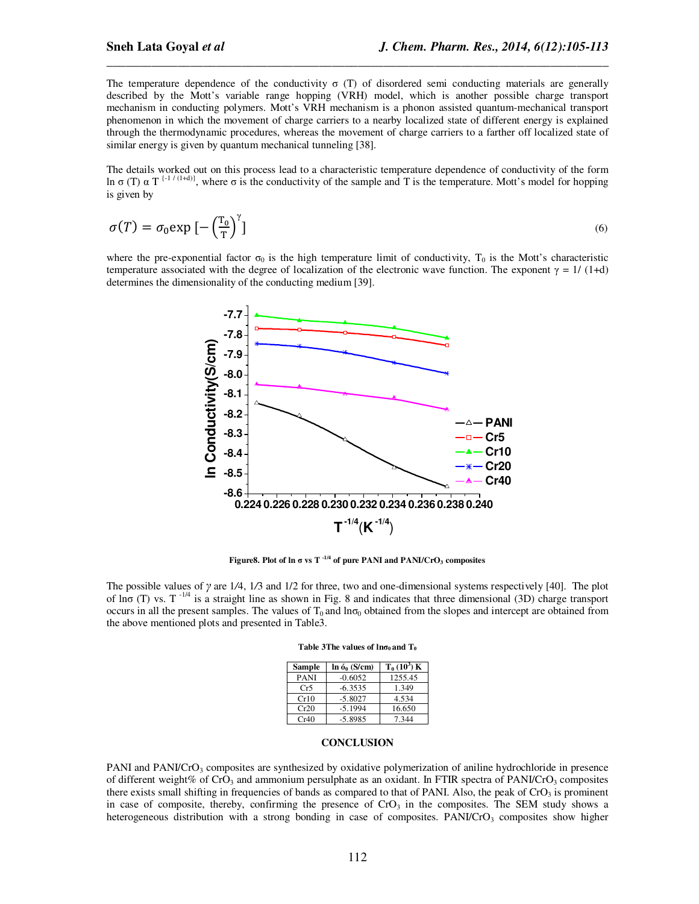The temperature dependence of the conductivity  $\sigma$  (T) of disordered semi conducting materials are generally described by the Mott's variable range hopping (VRH) model, which is another possible charge transport mechanism in conducting polymers. Mott's VRH mechanism is a phonon assisted quantum-mechanical transport phenomenon in which the movement of charge carriers to a nearby localized state of different energy is explained through the thermodynamic procedures, whereas the movement of charge carriers to a farther off localized state of similar energy is given by quantum mechanical tunneling [38].

*\_\_\_\_\_\_\_\_\_\_\_\_\_\_\_\_\_\_\_\_\_\_\_\_\_\_\_\_\_\_\_\_\_\_\_\_\_\_\_\_\_\_\_\_\_\_\_\_\_\_\_\_\_\_\_\_\_\_\_\_\_\_\_\_\_\_\_\_\_\_\_\_\_\_\_\_\_\_*

The details worked out on this process lead to a characteristic temperature dependence of conductivity of the form ln σ (T)  $\alpha$  T<sup>{-1 / (1+d)}</sup>, where σ is the conductivity of the sample and T is the temperature. Mott's model for hopping is given by

$$
\sigma(T) = \sigma_0 \exp\left[-\left(\frac{T_0}{T}\right)^{\gamma}\right]
$$
\n(6)

where the pre-exponential factor  $\sigma_0$  is the high temperature limit of conductivity,  $T_0$  is the Mott's characteristic temperature associated with the degree of localization of the electronic wave function. The exponent  $\gamma = 1/(1+d)$ determines the dimensionality of the conducting medium [39].



**Figure8.** Plot of  $\ln \sigma$  vs  $T^{-1/4}$  of pure PANI and PANI/CrO<sub>3</sub> composites

The possible values of γ are 1*/*4, 1*/*3 and 1/2 for three, two and one-dimensional systems respectively [40]. The plot of  $\ln \sigma$  (T) vs. T<sup>-1/4</sup> is a straight line as shown in Fig. 8 and indicates that three dimensional (3D) charge transport occurs in all the present samples. The values of  $T_0$  and  $\ln \sigma_0$  obtained from the slopes and intercept are obtained from the above mentioned plots and presented in Table3.

| <b>Sample</b> | $\ln 6_0$ (S/cm) | $T_0(10^3)K$ |
|---------------|------------------|--------------|
| <b>PANI</b>   | $-0.6052$        | 1255.45      |
| Cr5           | $-6.3535$        | 1.349        |
| Cr10          | $-5.8027$        | 4.534        |
| Cr20          | $-5.1994$        | 16.650       |
| Cr40          | $-5.8985$        | 7.344        |

|  |  | Table 3The values of $ln\sigma_0$ and $T_0$ |  |
|--|--|---------------------------------------------|--|
|  |  |                                             |  |

## **CONCLUSION**

PANI and PANI/CrO<sub>3</sub> composites are synthesized by oxidative polymerization of aniline hydrochloride in presence of different weight% of CrO<sub>3</sub> and ammonium persulphate as an oxidant. In FTIR spectra of PANI/CrO<sub>3</sub> composites there exists small shifting in frequencies of bands as compared to that of PANI. Also, the peak of  $CrO<sub>3</sub>$  is prominent in case of composite, thereby, confirming the presence of  $C<sub>1</sub>$  in the composites. The SEM study shows a heterogeneous distribution with a strong bonding in case of composites. PANI/CrO<sub>3</sub> composites show higher